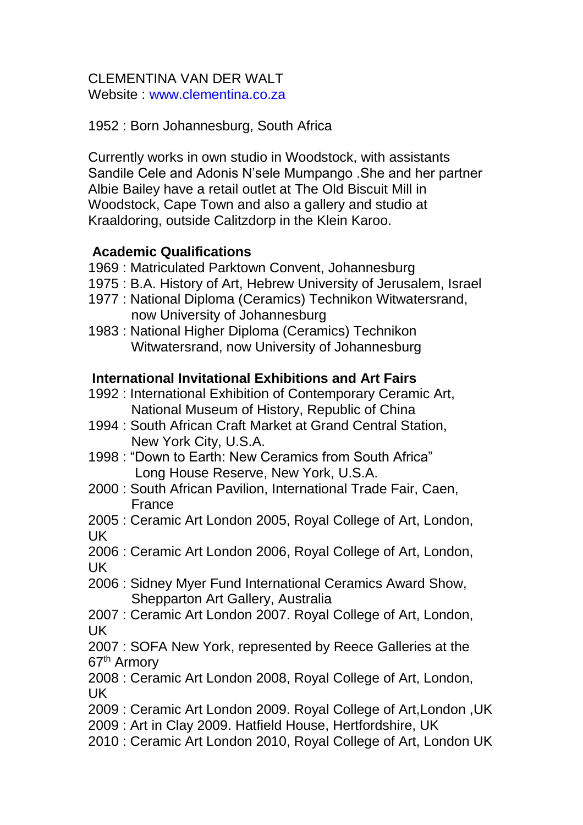#### CLEMENTINA VAN DER WALT Website : www.clementina.co.za

1952 : Born Johannesburg, South Africa

Currently works in own studio in Woodstock, with assistants Sandile Cele and Adonis N'sele Mumpango .She and her partner Albie Bailey have a retail outlet at The Old Biscuit Mill in Woodstock, Cape Town and also a gallery and studio at Kraaldoring, outside Calitzdorp in the Klein Karoo.

# **Academic Qualifications**

- 1969 : Matriculated Parktown Convent, Johannesburg
- 1975 : B.A. History of Art, Hebrew University of Jerusalem, Israel
- 1977 : National Diploma (Ceramics) Technikon Witwatersrand, now University of Johannesburg
- 1983 : National Higher Diploma (Ceramics) Technikon Witwatersrand, now University of Johannesburg

## **International Invitational Exhibitions and Art Fairs**

- 1992 : International Exhibition of Contemporary Ceramic Art, National Museum of History, Republic of China
- 1994 : South African Craft Market at Grand Central Station, New York City, U.S.A.
- 1998 : "Down to Earth: New Ceramics from South Africa" Long House Reserve, New York, U.S.A.
- 2000 : South African Pavilion, International Trade Fair, Caen, France
- 2005 : Ceramic Art London 2005, Royal College of Art, London, UK
- 2006 : Ceramic Art London 2006, Royal College of Art, London, UK
- 2006 : Sidney Myer Fund International Ceramics Award Show, Shepparton Art Gallery, Australia
- 2007 : Ceramic Art London 2007. Royal College of Art, London, UK
- 2007 : SOFA New York, represented by Reece Galleries at the 67<sup>th</sup> Armory
- 2008 : Ceramic Art London 2008, Royal College of Art, London, UK
- 2009 : Ceramic Art London 2009. Royal College of Art,London ,UK
- 2009 : Art in Clay 2009. Hatfield House, Hertfordshire, UK
- 2010 : Ceramic Art London 2010, Royal College of Art, London UK